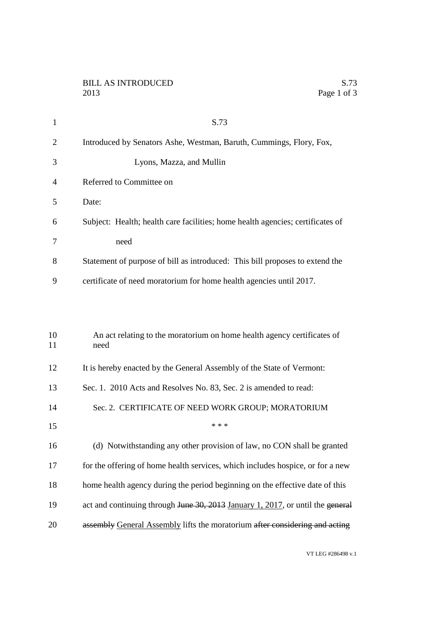| $\mathbf{1}$   | S.73                                                                            |
|----------------|---------------------------------------------------------------------------------|
| $\overline{2}$ | Introduced by Senators Ashe, Westman, Baruth, Cummings, Flory, Fox,             |
| 3              | Lyons, Mazza, and Mullin                                                        |
| $\overline{4}$ | Referred to Committee on                                                        |
| 5              | Date:                                                                           |
| 6              | Subject: Health; health care facilities; home health agencies; certificates of  |
| 7              | need                                                                            |
| 8              | Statement of purpose of bill as introduced: This bill proposes to extend the    |
| 9              | certificate of need moratorium for home health agencies until 2017.             |
|                |                                                                                 |
|                |                                                                                 |
| 10<br>11       | An act relating to the moratorium on home health agency certificates of<br>need |
| 12             | It is hereby enacted by the General Assembly of the State of Vermont:           |
| 13             | Sec. 1. 2010 Acts and Resolves No. 83, Sec. 2 is amended to read:               |
| 14             | Sec. 2. CERTIFICATE OF NEED WORK GROUP; MORATORIUM                              |
| 15             | * * *                                                                           |
| 16             | (d) Notwithstanding any other provision of law, no CON shall be granted         |
| 17             | for the offering of home health services, which includes hospice, or for a new  |
| 18             | home health agency during the period beginning on the effective date of this    |
| 19             | act and continuing through June 30, 2013 January 1, 2017, or until the general  |
| 20             | assembly General Assembly lifts the moratorium after considering and acting     |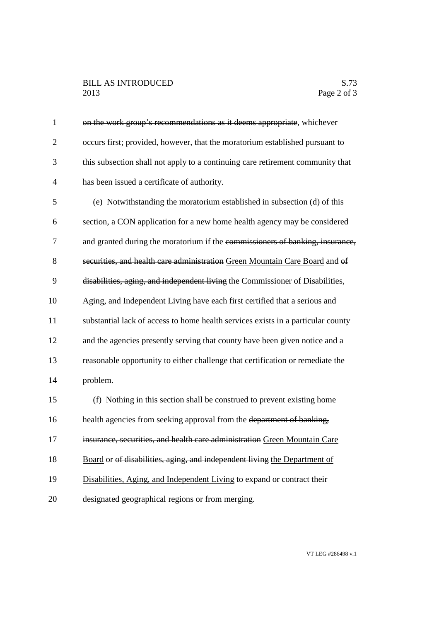1 on the work group's recommendations as it deems appropriate, whichever occurs first; provided, however, that the moratorium established pursuant to2 this subsection shall not apply to a continuing care retirement community that has been issued a certificate of authority.4 (e) Notwithstanding the moratorium established in subsection (d) of this5 section, a CON application for a new home health agency may be considered6 7 and granted during the moratorium if the commissioners of banking, insurance, 8 securities, and health care administration Green Mountain Care Board and of 9 disabilities, aging, and independent living the Commissioner of Disabilities, 10 Aging, and Independent Living have each first certified that a serious and substantial lack of access to home health services exists in a particular county11 12 and the agencies presently serving that county have been given notice and a reasonable opportunity to either challenge that certification or remediate the13 14 problem. (f) Nothing in this section shall be construed to prevent existing home15 16 health agencies from seeking approval from the department of banking, 17 insurance, securities, and health care administration Green Mountain Care 18 Board or of disabilities, aging, and independent living the Department of 19 Disabilities, Aging, and Independent Living to expand or contract their designated geographical regions or from merging.20